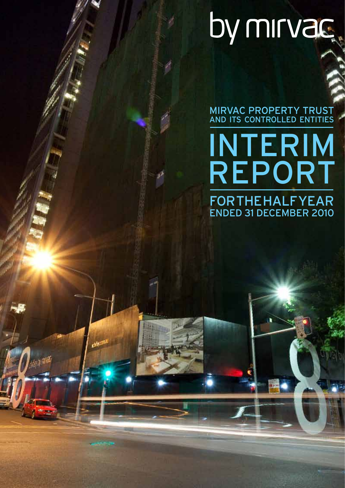# by mirvac.

MIRVAC PROPERTY TRUST AND ITS CONTROLLED ENTITIES

# **FOR THE HALF YEAR** ended 31 December 2010 INTERIM Report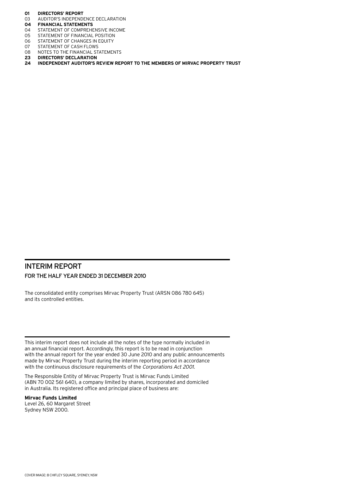- **01 Directors' report**
- 03 AUDITOR'S INDEPENDENCE DECLARATION<br>04 FINANCIAL STATEMENTS
- **04 Financial statements**
- 04 STATEMENT OF COMPREHENSIVE INCOME<br>05 STATEMENT OF FINANCIAL POSITION
- 05 STATEMENT OF FINANCIAL POSITION<br>06 STATEMENT OF CHANGES IN EQUITY
- STATEMENT OF CHANGES IN EQUITY
- 07 STATEMENT OF CASH FLOWS<br>08 NOTES TO THE FINANCIAL ST
- 08 NOTES TO THE FINANCIAL STATEMENTS<br>23 DIRECTORS' DECLARATION
- **23 Directors' declaration**
- **24 Independent auditor's review report to the members of Mirvac Property Trust**

## Interim Report For the half year ended 31 December 2010

The consolidated entity comprises Mirvac Property Trust (ARSN 086 780 645) and its controlled entities.

This interim report does not include all the notes of the type normally included in an annual financial report. Accordingly, this report is to be read in conjunction with the annual report for the year ended 30 June 2010 and any public announcements made by Mirvac Property Trust during the interim reporting period in accordance with the continuous disclosure requirements of the Corporations Act 2001.

The Responsible Entity of Mirvac Property Trust is Mirvac Funds Limited (ABN 70 002 561 640), a company limited by shares, incorporated and domiciled in Australia. Its registered office and principal place of business are:

#### **Mirvac Funds Limited**

Level 26, 60 Margaret Street Sydney NSW 2000.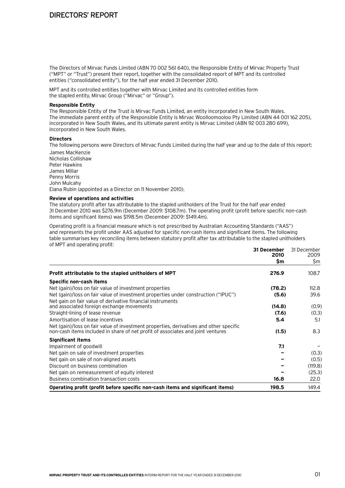## Directors' Report

The Directors of Mirvac Funds Limited (ABN 70 002 561 640), the Responsible Entity of Mirvac Property Trust ("MPT" or "Trust") present their report, together with the consolidated report of MPT and its controlled entities ("consolidated entity"), for the half year ended 31 December 2010.

MPT and its controlled entities together with Mirvac Limited and its controlled entities form the stapled entity, Mirvac Group ("Mirvac" or "Group").

#### **Responsible Entity**

The Responsible Entity of the Trust is Mirvac Funds Limited, an entity incorporated in New South Wales. The immediate parent entity of the Responsible Entity is Mirvac Woolloomooloo Pty Limited (ABN 44 001 162 205), incorporated in New South Wales, and its ultimate parent entity is Mirvac Limited (ABN 92 003 280 699), incorporated in New South Wales.

#### **Directors**

The following persons were Directors of Mirvac Funds Limited during the half year and up to the date of this report:

James MacKenzie Nicholas Collishaw Peter Hawkins James Millar Penny Morris John Mulcahy Elana Rubin (appointed as a Director on 11 November 2010).

#### **Review of operations and activities**

The statutory profit after tax attributable to the stapled unitholders of the Trust for the half year ended 31 December 2010 was \$276.9m (December 2009: \$108.7m). The operating profit (profit before specific non-cash items and significant items) was \$198.5m (December 2009: \$149.4m).

Operating profit is a financial measure which is not prescribed by Australian Accounting Standards ("AAS") and represents the profit under AAS adjusted for specific non-cash items and significant items. The following table summarises key reconciling items between statutory profit after tax attributable to the stapled unitholders of MPT and operating profit:

|                                                                                                                                                                           | 31 December<br>2010 | 31 December<br>2009 |
|---------------------------------------------------------------------------------------------------------------------------------------------------------------------------|---------------------|---------------------|
|                                                                                                                                                                           | \$m                 | \$m                 |
| Profit attributable to the stapled unitholders of MPT                                                                                                                     | 276.9               | 108.7               |
| Specific non-cash items                                                                                                                                                   |                     |                     |
| Net (gain)/loss on fair value of investment properties                                                                                                                    | (78.2)              | 112.8               |
| Net (gain)/loss on fair value of investment properties under construction ("IPUC")<br>Net gain on fair value of derivative financial instruments                          | (5.6)               | 39.6                |
| and associated foreign exchange movements                                                                                                                                 | (14.8)              | (0.9)               |
| Straight-lining of lease revenue                                                                                                                                          | (7.6)               | (0.3)               |
| Amortisation of lease incentives                                                                                                                                          | 5.4                 | 5.1                 |
| Net (gain)/loss on fair value of investment properties, derivatives and other specific<br>non-cash items included in share of net profit of associates and joint ventures | (1.5)               | 8.3                 |
| <b>Significant items</b>                                                                                                                                                  |                     |                     |
| Impairment of goodwill                                                                                                                                                    | 7.1                 |                     |
| Net gain on sale of investment properties                                                                                                                                 |                     | (0.3)               |
| Net gain on sale of non-aligned assets                                                                                                                                    |                     | (0.5)               |
| Discount on business combination                                                                                                                                          |                     | (119.8)             |
| Net gain on remeasurement of equity interest                                                                                                                              |                     | (25.3)              |
| Business combination transaction costs                                                                                                                                    | 16.8                | 22.0                |
| Operating profit (profit before specific non-cash items and significant items)                                                                                            | 198.5               | 149.4               |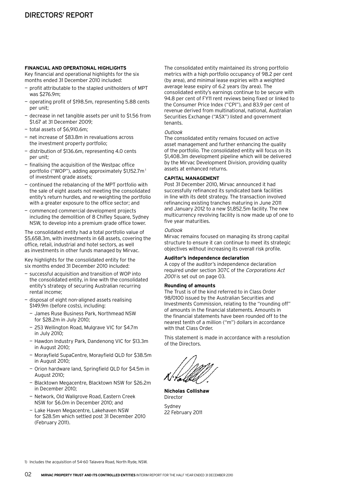#### **FINANCIAL AND OPERATIONAL HIGHLIGHTS**

Key financial and operational highlights for the six months ended 31 December 2010 included:

- profit attributable to the stapled unitholders of MPT was \$276.9m;
- operating profit of \$198.5m, representing 5.88 cents per unit;
- decrease in net tangible assets per unit to \$1.56 from \$1.67 at 31 December 2009;
- total assets of \$6,910.6m;
- net increase of \$83.8m in revaluations across the investment property portfolio;
- distribution of \$136.6m, representing 4.0 cents per unit;
- finalising the acquisition of the Westpac office portfolio ("WOP"), adding approximately \$1,152.7m<sup>1</sup> of investment grade assets;
- continued the rebalancing of the MPT portfolio with the sale of eight assets not meeting the consolidated entity's return hurdles, and re-weighting the portfolio with a greater exposure to the office sector; and
- commenced commercial development projects including the demolition of 8 Chifley Square, Sydney NSW, to develop into a premium grade office tower.

The consolidated entity had a total portfolio value of \$5,658.3m, with investments in 68 assets, covering the office, retail, industrial and hotel sectors, as well as investments in other funds managed by Mirvac.

Key highlights for the consolidated entity for the six months ended 31 December 2010 included:

- $-$  successful acquisition and transition of WOP into the consolidated entity, in line with the consolidated entity's strategy of securing Australian recurring rental income;
- $-$  disposal of eight non-aligned assets realising \$149.9m (before costs), including:
	- James Ruse Business Park, Northmead NSW for \$28.2m in July 2010;
	- 253 Wellington Road, Mulgrave VIC for \$4.7m in July 2010;
	- Hawdon Industry Park, Dandenong VIC for \$13.3m in August 2010;
	- Morayfield SupaCentre, Morayfield QLD for \$38.5m in August 2010;
	- Orion hardware land, Springfield QLD for \$4.5m in August 2010;
	- Blacktown Megacentre, Blacktown NSW for \$26.2m in December 2010;
	- Network, Old Wallgrove Road, Eastern Creek NSW for \$6.0m in December 2010; and
	- Lake Haven Megacentre, Lakehaven NSW for \$28.5m which settled post 31 December 2010 (February 2011).

The consolidated entity maintained its strong portfolio metrics with a high portfolio occupancy of 98.2 per cent (by area), and minimal lease expiries with a weighted average lease expiry of 6.2 years (by area). The consolidated entity's earnings continue to be secure with 94.8 per cent of FY11 rent reviews being fixed or linked to the Consumer Price Index ("CPI"), and 83.9 per cent of revenue derived from multinational, national, Australian Securities Exchange ("ASX") listed and government tenants.

#### Outlook

The consolidated entity remains focused on active asset management and further enhancing the quality of the portfolio. The consolidated entity will focus on its \$1,408.3m development pipeline which will be delivered by the Mirvac Development Division, providing quality assets at enhanced returns.

#### **Capital Management**

Post 31 December 2010, Mirvac announced it had successfully refinanced its syndicated bank facilities in line with its debt strategy. The transaction involved refinancing existing tranches maturing in June 2011 and January 2012 to a new \$1,852.5m facility. The new multicurrency revolving facility is now made up of one to five year maturities.

#### **Outlook**

Mirvac remains focused on managing its strong capital structure to ensure it can continue to meet its strategic objectives without increasing its overall risk profile.

#### **Auditor's independence declaration**

A copy of the auditor's independence declaration required under section 307C of the Corporations Act 2001 is set out on page 03.

#### **Rounding of amounts**

The Trust is of the kind referred to in Class Order 98/0100 issued by the Australian Securities and Investments Commission, relating to the "rounding off" of amounts in the financial statements. Amounts in the financial statements have been rounded off to the nearest tenth of a million ("m") dollars in accordance with that Class Order.

This statement is made in accordance with a resolution of the Directors.

**Nicholas Collishaw** Director Sydney

22 February 2011

1) Includes the acquisition of 54-60 Talavera Road, North Ryde, NSW.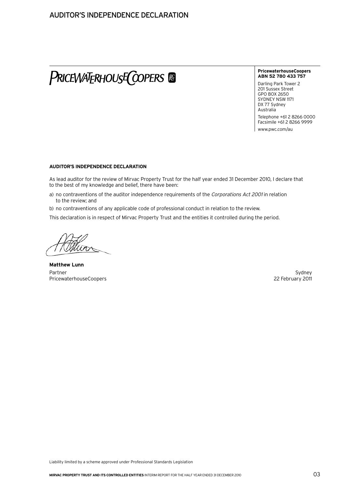# PRICEWATERHOUSE COPERS &

#### **PricewaterhouseCoopers ABN 52 780 433 757**

Darling Park Tower 2 201 Sussex Street GPO BOX 2650 SYDNEY NSW 1171 DX 77 Sydney Australia

Telephone +61 2 8266 0000 Facsimile +61 2 8266 9999 www.pwc.com/au

#### **Auditor's independence declaration**

As lead auditor for the review of Mirvac Property Trust for the half year ended 31 December 2010, I declare that to the best of my knowledge and belief, there have been:

- a) no contraventions of the auditor independence requirements of the Corporations Act 2001 in relation to the review; and
- b) no contraventions of any applicable code of professional conduct in relation to the review.

This declaration is in respect of Mirvac Property Trust and the entities it controlled during the period.

**Matthew Lunn** Partner Sydney PricewaterhouseCoopers **22 February 2011** 22 February 2011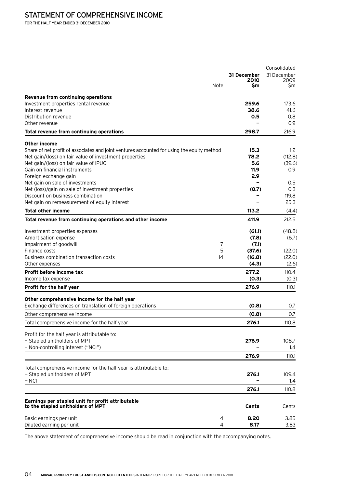# STATEMENT OF COMPREHENSIVE INCOME

For the half year ended 31 December 2010

|                                                                                            |              | Consolidated |
|--------------------------------------------------------------------------------------------|--------------|--------------|
|                                                                                            | 31 December  | 31 December  |
| Note                                                                                       | 2010         | 2009         |
|                                                                                            | Sm           | Sm           |
| Revenue from continuing operations                                                         |              |              |
| Investment properties rental revenue                                                       | 259.6        | 173.6        |
| Interest revenue                                                                           | 38.6         | 41.6         |
| Distribution revenue                                                                       | 0.5          | 0.8          |
| Other revenue                                                                              |              | 0.9          |
| Total revenue from continuing operations                                                   | 298.7        | 216.9        |
| Other income                                                                               |              |              |
| Share of net profit of associates and joint ventures accounted for using the equity method | 15.3         | 1.2          |
| Net gain/(loss) on fair value of investment properties                                     | 78.2         | (112.8)      |
| Net gain/(loss) on fair value of IPUC                                                      | 5.6          | (39.6)       |
| Gain on financial instruments                                                              | 11.9         | 0.9          |
| Foreign exchange gain                                                                      | 2.9          |              |
| Net gain on sale of investments                                                            |              | 0.5          |
| Net (loss)/gain on sale of investment properties                                           | (0.7)        | 0.3          |
| Discount on business combination                                                           |              | 119.8        |
| Net gain on remeasurement of equity interest                                               |              | 25.3         |
| <b>Total other income</b>                                                                  | 113.2        | (4.4)        |
| Total revenue from continuing operations and other income                                  | 411.9        | 212.5        |
| Investment properties expenses                                                             | (61.1)       | (48.8)       |
| Amortisation expense                                                                       | (7.8)        | (6.7)        |
| Impairment of goodwill<br>7                                                                | (7.1)        |              |
| Finance costs<br>5                                                                         | (37.6)       | (22.0)       |
| Business combination transaction costs<br>14                                               | (16.8)       | (22.0)       |
| Other expenses                                                                             | (4.3)        | (2.6)        |
| Profit before income tax                                                                   | 277.2        | 110.4        |
| Income tax expense                                                                         | (0.3)        | (0.3)        |
| Profit for the half year                                                                   | 276.9        | 110.1        |
| Other comprehensive income for the half year                                               |              |              |
| Exchange differences on translation of foreign operations                                  | (0.8)        | 0.7          |
| Other comprehensive income                                                                 | (0.8)        | 0.7          |
| Total comprehensive income for the half year                                               | 276.1        | 110.8        |
|                                                                                            |              |              |
| Profit for the half year is attributable to:                                               |              |              |
| - Stapled unitholders of MPT                                                               | 276.9        | 108.7        |
| - Non-controlling interest ("NCI")                                                         |              | 1.4          |
|                                                                                            | 276.9        | 110.1        |
| Total comprehensive income for the half year is attributable to:                           |              |              |
| - Stapled unitholders of MPT                                                               | 276.1        | 109.4        |
| – NCI                                                                                      |              | 1.4          |
|                                                                                            | 276.1        | 110.8        |
|                                                                                            |              |              |
| Earnings per stapled unit for profit attributable<br>to the stapled unitholders of MPT     | <b>Cents</b> | Cents        |
|                                                                                            |              |              |
| Basic earnings per unit<br>4                                                               | 8.20         | 3.85         |
| Diluted earning per unit<br>4                                                              | 8.17         | 3.83         |

The above statement of comprehensive income should be read in conjunction with the accompanying notes.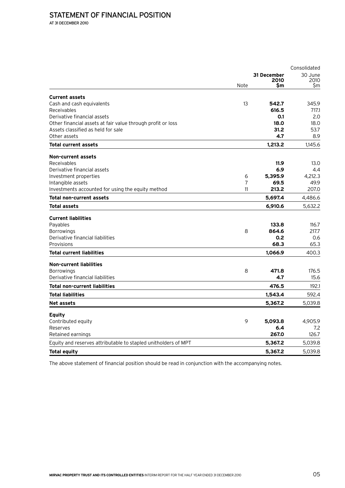At 31 December 2010

|                                                                |                |             | Consolidated |
|----------------------------------------------------------------|----------------|-------------|--------------|
|                                                                |                | 31 December | 30 June      |
|                                                                | Note           | 2010<br>Sm  | 2010<br>Sm   |
| <b>Current assets</b>                                          |                |             |              |
| Cash and cash equivalents                                      | 13             | 542.7       | 345.9        |
| Receivables                                                    |                | 616.5       | 717.1        |
| Derivative financial assets                                    |                | 0.1         | 2.0          |
| Other financial assets at fair value through profit or loss    |                | 18.0        | 18.0         |
| Assets classified as held for sale                             |                | 31.2        | 53.7         |
| Other assets                                                   |                | 4.7         | 8.9          |
| <b>Total current assets</b>                                    |                | 1,213.2     | 1,145.6      |
| Non-current assets                                             |                |             |              |
| Receivables                                                    |                | 11.9        | 13.0         |
| Derivative financial assets                                    |                | 6.9         | 4.4          |
| Investment properties                                          | 6              | 5,395.9     | 4,212.3      |
| Intangible assets                                              | $\overline{7}$ | 69.5        | 49.9         |
| Investments accounted for using the equity method              | 11             | 213.2       | 207.0        |
| Total non-current assets                                       |                | 5,697.4     | 4,486.6      |
| Total assets                                                   |                | 6,910.6     | 5,632.2      |
| <b>Current liabilities</b>                                     |                |             |              |
| Payables                                                       |                | 133.8       | 116.7        |
| Borrowings                                                     | 8              | 864.6       | 217.7        |
| Derivative financial liabilities                               |                | 0.2         | 0.6          |
| Provisions                                                     |                | 68.3        | 65.3         |
| <b>Total current liabilities</b>                               |                | 1,066.9     | 400.3        |
| <b>Non-current liabilities</b>                                 |                |             |              |
| Borrowings                                                     | 8              | 471.8       | 176.5        |
| Derivative financial liabilities                               |                | 4.7         | 15.6         |
| <b>Total non-current liabilities</b>                           |                | 476.5       | 192.1        |
| <b>Total liabilities</b>                                       |                | 1,543.4     | 592.4        |
| Net assets                                                     |                | 5,367.2     | 5,039.8      |
| <b>Equity</b>                                                  |                |             |              |
| Contributed equity                                             | 9              | 5,093.8     | 4,905.9      |
| Reserves                                                       |                | 6.4         | 7.2          |
| Retained earnings                                              |                | 267.0       | 126.7        |
| Equity and reserves attributable to stapled unitholders of MPT |                | 5,367.2     | 5,039.8      |
| Total equity                                                   |                | 5,367.2     | 5,039.8      |

The above statement of financial position should be read in conjunction with the accompanying notes.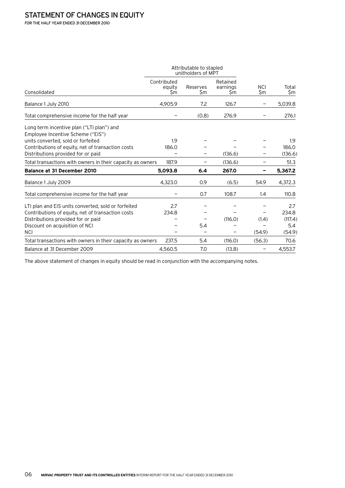For the half year ended 31 December 2010

|                                                                                                                      |                             | Attributable to stapled<br>unitholders of MPT |                            |                   |              |
|----------------------------------------------------------------------------------------------------------------------|-----------------------------|-----------------------------------------------|----------------------------|-------------------|--------------|
| Consolidated                                                                                                         | Contributed<br>equity<br>Sm | Reserves<br>\$m                               | Retained<br>earnings<br>Şm | <b>NCI</b><br>\$m | Total<br>\$m |
| Balance 1 July 2010                                                                                                  | 4,905.9                     | 7.2                                           | 126.7                      |                   | 5,039.8      |
| Total comprehensive income for the half year                                                                         |                             | (0.8)                                         | 276.9                      |                   | 276.1        |
| Long term incentive plan ("LTI plan") and<br>Employee Incentive Scheme ("EIS")<br>units converted, sold or forfeited | 1.9                         |                                               |                            |                   | 1.9          |
| Contributions of equity, net of transaction costs                                                                    | 186.0                       |                                               |                            |                   | 186.0        |
| Distributions provided for or paid                                                                                   |                             |                                               | (136.6)                    |                   | (136.6)      |
| Total transactions with owners in their capacity as owners                                                           | 187.9                       |                                               | (136.6)                    |                   | 51.3         |
| <b>Balance at 31 December 2010</b>                                                                                   | 5,093.8                     | 6.4                                           | 267.0                      |                   | 5,367.2      |
| Balance 1 July 2009                                                                                                  | 4,323.0                     | 0.9                                           | (6.5)                      | 54.9              | 4,372.3      |
| Total comprehensive income for the half year                                                                         |                             | 0.7                                           | 108.7                      | 1.4               | 110.8        |
| LTI plan and EIS units converted, sold or forfeited                                                                  | 2.7                         |                                               |                            |                   | 2.7          |
| Contributions of equity, net of transaction costs                                                                    | 234.8                       |                                               |                            |                   | 234.8        |
| Distributions provided for or paid                                                                                   |                             |                                               | (116.0)                    | (1.4)             | (117.4)      |
| Discount on acquisition of NCI                                                                                       |                             | 5.4                                           |                            |                   | 5.4          |
| <b>NCI</b>                                                                                                           |                             |                                               |                            | (54.9)            | (54.9)       |
| Total transactions with owners in their capacity as owners                                                           | 237.5                       | 5.4                                           | (116.0)                    | (56.3)            | 70.6         |
| Balance at 31 December 2009                                                                                          | 4,560.5                     | 7.0                                           | (13.8)                     |                   | 4,553.7      |

The above statement of changes in equity should be read in conjunction with the accompanying notes.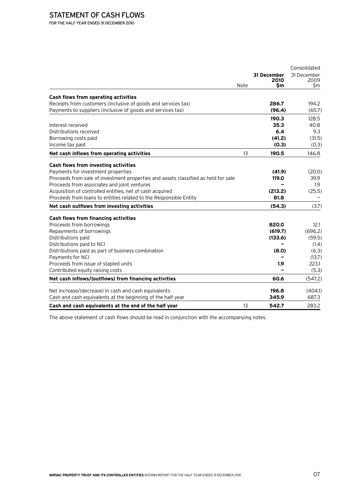# STATEMENT OF CASH FLOWS

For the half year ended 31 December 2010

|                                                                                    |      |             | Consolidated |
|------------------------------------------------------------------------------------|------|-------------|--------------|
|                                                                                    |      | 31 December | 31 December  |
|                                                                                    | Note | 2010<br>\$m | 2009<br>\$m  |
|                                                                                    |      |             |              |
| Cash flows from operating activities                                               |      |             |              |
| Receipts from customers (inclusive of goods and services tax)                      |      | 286.7       | 194.2        |
| Payments to suppliers (inclusive of goods and services tax)                        |      | (96.4)      | (65.7)       |
|                                                                                    |      | 190.3       | 128.5        |
| Interest received                                                                  |      | 35.3        | 40.8         |
| Distributions received                                                             |      | 6.4         | 9.3          |
| Borrowing costs paid                                                               |      | (41.2)      | (31.5)       |
| Income tax paid                                                                    |      | (0.3)       | (0.3)        |
| Net cash inflows from operating activities                                         | 13   | 190.5       | 146.8        |
| Cash flows from investing activities                                               |      |             |              |
| Payments for investment properties                                                 |      | (41.9)      | (20.0)       |
| Proceeds from sale of investment properties and assets classified as held for sale |      | 119.0       | 39.9         |
| Proceeds from associates and joint ventures                                        |      |             | 1.9          |
| Acquisition of controlled entities, net of cash acquired                           |      | (213.2)     | (25.5)       |
| Proceeds from loans to entities related to the Responsible Entity                  |      | 81.8        |              |
| Net cash outflows from investing activities                                        |      | (54.3)      | (3.7)        |
| Cash flows from financing activities                                               |      |             |              |
| Proceeds from borrowings                                                           |      | 820.0       | 12.1         |
| Repayments of borrowings                                                           |      | (619.7)     | (696.2)      |
| Distributions paid                                                                 |      | (133.6)     | (59.5)       |
| Distributions paid to NCI                                                          |      |             | (1.4)        |
| Distributions paid as part of business combination                                 |      | (8.0)       | (6.3)        |
| Payments for NCI                                                                   |      |             | (13.7)       |
| Proceeds from issue of stapled units                                               |      | 1.9         | 223.1        |
| Contributed equity raising costs                                                   |      |             | (5.3)        |
| Net cash inflows/(outflows) from financing activities                              |      | 60.6        | (547.2)      |
| Net increase/(decrease) in cash and cash equivalents                               |      | 196.8       | (404.1)      |
| Cash and cash equivalents at the beginning of the half year                        |      | 345.9       | 687.3        |
| Cash and cash equivalents at the end of the half year                              | 13   | 542.7       | 283.2        |

The above statement of cash flows should be read in conjunction with the accompanying notes.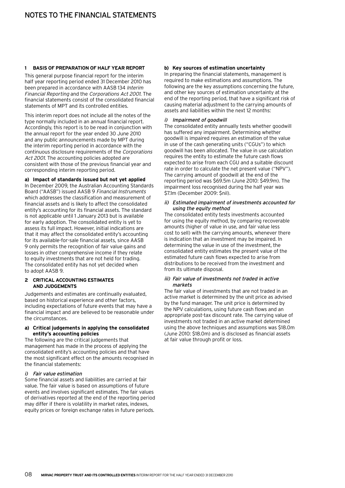#### **1 Basis of preparation of half year report**

This general purpose financial report for the interim half year reporting period ended 31 December 2010 has been prepared in accordance with AASB 134 Interim Financial Reporting and the Corporations Act 2001. The financial statements consist of the consolidated financial statements of MPT and its controlled entities.

This interim report does not include all the notes of the type normally included in an annual financial report. Accordingly, this report is to be read in conjunction with the annual report for the year ended 30 June 2010 and any public announcements made by MPT during the interim reporting period in accordance with the continuous disclosure requirements of the Corporations Act 2001. The accounting policies adopted are consistent with those of the previous financial year and corresponding interim reporting period.

#### **a) Impact of standards issued but not yet applied**

In December 2009, the Australian Accounting Standards Board ("AASB") issued AASB 9 Financial Instruments which addresses the classification and measurement of financial assets and is likely to affect the consolidated entity's accounting for its financial assets. The standard is not applicable until 1 January 2013 but is available for early adoption. The consolidated entity is yet to assess its full impact. However, initial indications are that it may affect the consolidated entity's accounting for its available-for-sale financial assets, since AASB 9 only permits the recognition of fair value gains and losses in other comprehensive income if they relate to equity investments that are not held for trading. The consolidated entity has not yet decided when to adopt AASB 9.

#### **2 Critical accounting estimates and judgements**

Judgements and estimates are continually evaluated, based on historical experience and other factors, including expectations of future events that may have a financial impact and are believed to be reasonable under the circumstances.

#### **a) Critical judgements in applying the consolidated entity's accounting policies**

The following are the critical judgements that management has made in the process of applying the consolidated entity's accounting policies and that have the most significant effect on the amounts recognised in the financial statements:

#### i) Fair value estimation

Some financial assets and liabilities are carried at fair value. The fair value is based on assumptions of future events and involves significant estimates. The fair values of derivatives reported at the end of the reporting period may differ if there is volatility in market rates, indexes, equity prices or foreign exchange rates in future periods.

#### **b) Key sources of estimation uncertainty**

In preparing the financial statements, management is required to make estimations and assumptions. The following are the key assumptions concerning the future, and other key sources of estimation uncertainty at the end of the reporting period, that have a significant risk of causing material adjustment to the carrying amounts of assets and liabilities within the next 12 months:

#### i) Impairment of goodwill

The consolidated entity annually tests whether goodwill has suffered any impairment. Determining whether goodwill is impaired requires an estimation of the value in use of the cash generating units ("CGUs") to which goodwill has been allocated. The value in use calculation requires the entity to estimate the future cash flows expected to arise from each CGU and a suitable discount rate in order to calculate the net present value ("NPV"). The carrying amount of goodwill at the end of the reporting period was \$69.5m (June 2010: \$49.9m). The impairment loss recognised during the half year was \$7.1m (December 2009: \$nil).

#### ii) Estimated impairment of investments accounted for using the equity method

The consolidated entity tests investments accounted for using the equity method, by comparing recoverable amounts (higher of value in use, and fair value less cost to sell) with the carrying amounts, whenever there is indication that an investment may be impaired. In determining the value in use of the investment, the consolidated entity estimates the present value of the estimated future cash flows expected to arise from distributions to be received from the investment and from its ultimate disposal.

#### iii) Fair value of investments not traded in active markets

The fair value of investments that are not traded in an active market is determined by the unit price as advised by the fund manager. The unit price is determined by the NPV calculations, using future cash flows and an appropriate post-tax discount rate. The carrying value of investments not traded in an active market determined using the above techniques and assumptions was \$18.0m (June 2010: \$18.0m) and is disclosed as financial assets at fair value through profit or loss.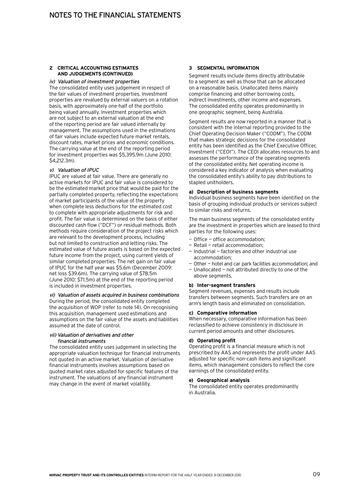#### **2 Critical accounting estimates and judgements (Continued)**

#### iv) Valuation of investment properties

The consolidated entity uses judgement in respect of the fair values of investment properties. Investment properties are revalued by external valuers on a rotation basis, with approximately one-half of the portfolio being valued annually. Investment properties which are not subject to an external valuation at the end of the reporting period are fair valued internally by management. The assumptions used in the estimations of fair values include expected future market rentals, discount rates, market prices and economic conditions. The carrying value at the end of the reporting period for investment properties was \$5,395.9m (June 2010: \$4,212.3m).

#### v) Valuation of IPUC

IPUC are valued at fair value. There are generally no active markets for IPUC and fair value is considered to be the estimated market price that would be paid for the partially completed property, reflecting the expectations of market participants of the value of the property when complete less deductions for the estimated cost to complete with appropriate adjustments for risk and profit. The fair value is determined on the basis of either discounted cash flow ("DCF") or residual methods. Both methods require consideration of the project risks which are relevant to the development process, including but not limited to construction and letting risks. The estimated value of future assets is based on the expected future income from the project, using current yields of similar completed properties. The net gain on fair value of IPUC for the half year was \$5.6m (December 2009: net loss \$39.6m). The carrying value of \$78.5m (June 2010: \$71.5m) at the end of the reporting period is included in investment properties.

#### vi) Valuation of assets acquired in business combinations

During the period, the consolidated entity completed the acquisition of WOP (refer to note 14). On recognising this acquisition, management used estimations and assumptions on the fair value of the assets and liabilities assumed at the date of control.

#### vii) Valuation of derivatives and other financial instruments

The consolidated entity uses judgement in selecting the appropriate valuation technique for financial instruments not quoted in an active market. Valuation of derivative financial instruments involves assumptions based on quoted market rates adjusted for specific features of the instrument. The valuations of any financial instrument may change in the event of market volatility.

#### **3 Segmental information**

Segment results include items directly attributable to a segment as well as those that can be allocated on a reasonable basis. Unallocated items mainly comprise financing and other borrowing costs, indirect investments, other income and expenses. The consolidated entity operates predominantly in one geographic segment, being Australia.

Segment results are now reported in a manner that is consistent with the internal reporting provided to the Chief Operating Decision Maker ("CODM"). The CODM that makes strategic decisions for the consolidated entity has been identified as the Chief Executive Officer, Investment ("CEOI"). The CEOI allocates resources to and assesses the performance of the operating segments of the consolidated entity. Net operating income is considered a key indicator of analysis when evaluating the consolidated entity's ability to pay distributions to stapled unitholders.

#### **a) Description of business segments**

Individual business segments have been identified on the basis of grouping individual products or services subject to similar risks and returns.

The main business segments of the consolidated entity are the investment in properties which are leased to third parties for the following uses:

- Office office accommodation:
- Retail retail accommodation;
- $-$  Industrial  $-$  factories and other industrial use accommodation;
- Other hotel and car park facilities accommodation; and
- Unallocated not attributed directly to one of the above segments.

#### **b) Inter-segment transfers**

Segment revenues, expenses and results include transfers between segments. Such transfers are on an arm's length basis and eliminated on consolidation.

#### **c) Comparative information**

When necessary, comparative information has been reclassified to achieve consistency in disclosure in current period amounts and other disclosures.

#### **d) Operating profit**

Operating profit is a financial measure which is not prescribed by AAS and represents the profit under AAS adjusted for specific non-cash items and significant items, which management considers to reflect the core earnings of the consolidated entity.

#### **e) Geographical analysis**

The consolidated entity operates predominantly in Australia.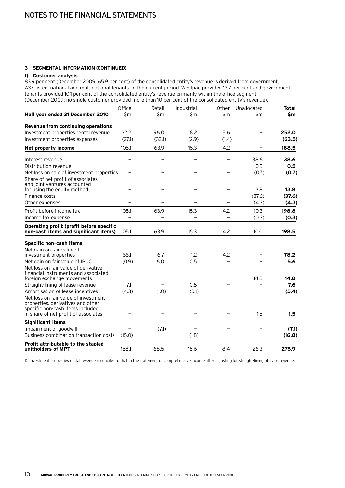#### **3 Segmental information (Continued)**

#### **f) Customer analysis**

83.9 per cent (December 2009: 65.9 per cent) of the consolidated entity's revenue is derived from government, ASX listed, national and multinational tenants. In the current period, Westpac provided 13.7 per cent and government tenants provided 10.1 per cent of the consolidated entity's revenue primarily within the office segment (December 2009: no single customer provided more than 10 per cent of the consolidated entity's revenue).

|                                                                                                               | Office | Retail | Industrial | Other | Unallocated              | <b>Total</b> |
|---------------------------------------------------------------------------------------------------------------|--------|--------|------------|-------|--------------------------|--------------|
| Half year ended 31 December 2010                                                                              | \$m    | \$m    | \$m        | \$m   | \$m                      | \$m          |
| Revenue from continuing operations                                                                            |        |        |            |       |                          |              |
| Investment properties rental revenue <sup>1</sup>                                                             | 132.2  | 96.0   | 18.2       | 5.6   |                          | 252.0        |
| Investment properties expenses                                                                                | (27.1) | (32.1) | (2.9)      | (1.4) |                          | (63.5)       |
| Net property income                                                                                           | 105.1  | 63.9   | 15.3       | 4.2   |                          | 188.5        |
| Interest revenue                                                                                              |        |        |            |       | 38.6                     | 38.6         |
| Distribution revenue                                                                                          |        |        |            |       | 0.5                      | 0.5          |
| Net loss on sale of investment properties                                                                     |        |        |            |       | (0.7)                    | (0.7)        |
| Share of net profit of associates<br>and joint ventures accounted                                             |        |        |            |       |                          |              |
| for using the equity method                                                                                   |        |        |            |       | 13.8                     | 13.8         |
| Finance costs                                                                                                 |        |        |            |       | (37.6)                   | (37.6)       |
| Other expenses                                                                                                |        |        |            |       | (4.3)                    | (4.3)        |
| Profit before income tax                                                                                      | 105.1  | 63.9   | 15.3       | 4.2   | 10.3                     | 198.8        |
| Income tax expense                                                                                            |        |        |            |       | (0.3)                    | (0.3)        |
| Operating profit (profit before specific                                                                      |        |        |            |       |                          |              |
| non-cash items and significant items)                                                                         | 105.1  | 63.9   | 15.3       | 4.2   | 10.0                     | 198.5        |
| Specific non-cash items                                                                                       |        |        |            |       |                          |              |
| Net gain on fair value of                                                                                     |        |        |            |       |                          |              |
| investment properties                                                                                         | 66.1   | 6.7    | 1.2        | 4.2   |                          | 78.2         |
| Net gain on fair value of IPUC                                                                                | (0.9)  | 6.0    | 0.5        |       |                          | 5.6          |
| Net loss on fair value of derivative<br>financial instruments and associated                                  |        |        |            |       |                          |              |
| foreign exchange movements                                                                                    |        |        |            |       | 14.8                     | 14.8         |
| Straight-lining of lease revenue                                                                              | 7.1    |        | 0.5        |       |                          | 7.6          |
| Amortisation of lease incentives                                                                              | (4.3)  | (1.0)  | (0.1)      |       |                          | (5.4)        |
| Net loss on fair value of investment<br>properties, derivatives and other<br>specific non-cash items included |        |        |            |       |                          |              |
| in share of net profit of associates                                                                          |        |        |            |       | 1.5                      | 1.5          |
| <b>Significant items</b>                                                                                      |        |        |            |       |                          |              |
| Impairment of goodwill                                                                                        |        | (7.1)  |            |       |                          | (7.1)        |
| Business combination transaction costs                                                                        | (15.0) |        | (1.8)      |       | $\overline{\phantom{0}}$ | (16.8)       |
| Profit attributable to the stapled<br>unitholders of MPT                                                      | 158.1  | 68.5   | 15.6       | 8.4   | 26.3                     | 276.9        |

1) Investment properties rental revenue reconciles to that in the statement of comprehensive income after adjusting for straight-lining of lease revenue.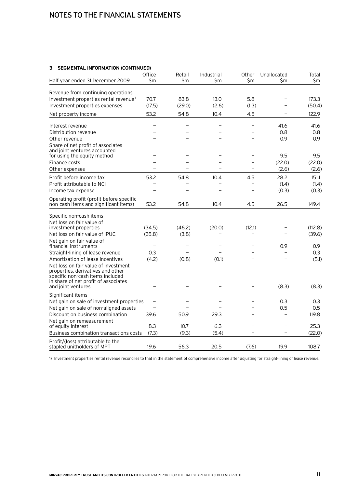# Notes to the financial statements

#### **3 Segmental information (Continued)**

| Half year ended 31 December 2009                                                                                                                                            | Office<br>\$m            | Retail<br>\$m | Industrial<br>\$m        | Other<br>\$m | Unallocated<br>\$m       | Total<br>\$m    |
|-----------------------------------------------------------------------------------------------------------------------------------------------------------------------------|--------------------------|---------------|--------------------------|--------------|--------------------------|-----------------|
| Revenue from continuing operations                                                                                                                                          |                          |               |                          |              |                          |                 |
| Investment properties rental revenue <sup>1</sup>                                                                                                                           | 70.7                     | 83.8          | 13.0                     | 5.8          |                          | 173.3           |
| Investment properties expenses                                                                                                                                              | (17.5)                   | (29.0)        | (2.6)                    | (1.3)        |                          | (50.4)          |
| Net property income                                                                                                                                                         | 53.2                     | 54.8          | 10.4                     | 4.5          | $\overline{\phantom{0}}$ | 122.9           |
| Interest revenue                                                                                                                                                            |                          |               | $\overline{\phantom{0}}$ | —            | 41.6                     | 41.6            |
| Distribution revenue                                                                                                                                                        |                          |               |                          |              | 0.8                      | 0.8             |
| Other revenue                                                                                                                                                               |                          |               |                          |              | 0.9                      | 0.9             |
| Share of net profit of associates<br>and joint ventures accounted                                                                                                           |                          |               |                          |              |                          |                 |
| for using the equity method                                                                                                                                                 | -                        |               |                          | -            | 9.5                      | 9.5             |
| Finance costs                                                                                                                                                               |                          |               |                          |              | (22.0)<br>(2.6)          | (22.0)<br>(2.6) |
| Other expenses                                                                                                                                                              |                          |               |                          |              |                          |                 |
| Profit before income tax                                                                                                                                                    | 53.2                     | 54.8          | 10.4                     | 4.5          | 28.2                     | 151.1           |
| Profit attributable to NCI                                                                                                                                                  | $\overline{\phantom{0}}$ |               |                          | $\equiv$     | (1.4)                    | (1.4)           |
| Income tax expense                                                                                                                                                          |                          |               |                          |              | (0.3)                    | (0.3)           |
| Operating profit (profit before specific<br>non-cash items and significant items)                                                                                           | 53.2                     | 54.8          | 10.4                     | 4.5          | 26.5                     | 149.4           |
| Specific non-cash items                                                                                                                                                     |                          |               |                          |              |                          |                 |
| Net loss on fair value of                                                                                                                                                   |                          |               |                          |              |                          |                 |
| investment properties                                                                                                                                                       | (34.5)                   | (46.2)        | (20.0)                   | (12.1)       |                          | (112.8)         |
| Net loss on fair value of IPUC                                                                                                                                              | (35.8)                   | (3.8)         |                          |              |                          | (39.6)          |
| Net gain on fair value of<br>financial instruments                                                                                                                          | $\overline{\phantom{0}}$ |               | -                        |              | 0.9                      | 0.9             |
| Straight-lining of lease revenue                                                                                                                                            | 0.3                      |               |                          |              |                          | 0.3             |
| Amortisation of lease incentives                                                                                                                                            | (4.2)                    | (0.8)         | (0.1)                    |              |                          | (5.1)           |
| Net loss on fair value of investment<br>properties, derivatives and other<br>specific non-cash items included<br>in share of net profit of associates<br>and joint ventures |                          |               |                          |              | (8.3)                    | (8.3)           |
| Significant items                                                                                                                                                           |                          |               |                          |              |                          |                 |
| Net gain on sale of investment properties                                                                                                                                   |                          |               |                          |              | 0.3                      | 0.3             |
| Net gain on sale of non-aligned assets                                                                                                                                      |                          |               |                          |              | 0.5                      | 0.5             |
| Discount on business combination                                                                                                                                            | 39.6                     | 50.9          | 29.3                     |              |                          | 119.8           |
| Net gain on remeasurement<br>of equity interest                                                                                                                             | 8.3                      | 10.7          | 6.3                      |              |                          | 25.3            |
| Business combination transactions costs                                                                                                                                     | (7.3)                    | (9.3)         | (5.4)                    |              |                          | (22.0)          |
| Profit/(loss) attributable to the<br>stapled unitholders of MPT                                                                                                             | 19.6                     | 56.3          | 20.5                     | (7.6)        | 19.9                     | 108.7           |

1) Investment properties rental revenue reconciles to that in the statement of comprehensive income after adjusting for straight-lining of lease revenue.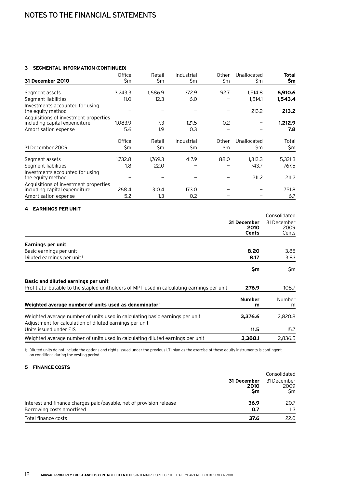#### **3 Segmental information (Continued)**

|                                                                        | Office        | Retail        | Industrial        | Other        | Unallocated        | Total        |
|------------------------------------------------------------------------|---------------|---------------|-------------------|--------------|--------------------|--------------|
| 31 December 2010                                                       | \$m           | \$m           | \$m               | \$m          | \$m                | \$m          |
| Segment assets                                                         | 3.243.3       | 1,686.9       | 372.9             | 92.7         | 1,514.8            | 6,910.6      |
| Segment liabilities                                                    | 11.0          | 12.3          | 6.0               |              | 1,514.1            | 1,543.4      |
| Investments accounted for using<br>the equity method                   |               |               |                   |              | 213.2              | 213.2        |
| Acquisitions of investment properties<br>including capital expenditure | 1,083.9       | 7.3           | 121.5             | 0.2          |                    | 1,212.9      |
| Amortisation expense                                                   | 5.6           | 1.9           | 0.3               |              |                    | 7.8          |
| 31 December 2009                                                       | Office<br>\$m | Retail<br>\$m | Industrial<br>\$m | Other<br>\$m | Unallocated<br>\$m | Total<br>\$m |
|                                                                        |               |               |                   |              |                    |              |
| Segment assets                                                         | 1.732.8       | 1.769.3       | 417.9             | 88.0         | 1.313.3            | 5,321.3      |
| Segment liabilities                                                    | 1.8           | 22.0          |                   |              | 743.7              | 767.5        |
| Investments accounted for using<br>the equity method                   |               |               |                   |              | 211.2              | 211.2        |
| Acquisitions of investment properties<br>including capital expenditure | 268.4         | 310.4         | 173.0             |              |                    | 751.8        |
| Amortisation expense                                                   | 5.2           | 1.3           | 0.2               |              |                    | 6.7          |

#### **4 Earnings per unit**

|                                                                                                                                         |                              | Consolidated                 |
|-----------------------------------------------------------------------------------------------------------------------------------------|------------------------------|------------------------------|
|                                                                                                                                         | 31 December<br>2010<br>Cents | 31 December<br>2009<br>Cents |
| Earnings per unit                                                                                                                       |                              |                              |
| Basic earnings per unit                                                                                                                 | 8.20                         | 3.85                         |
| Diluted earnings per unit <sup>1</sup>                                                                                                  | 8.17                         | 3.83                         |
|                                                                                                                                         | \$m                          | \$m                          |
| Basic and diluted earnings per unit<br>Profit attributable to the stapled unitholders of MPT used in calculating earnings per unit      | 276.9                        | 108.7                        |
|                                                                                                                                         |                              |                              |
| Weighted average number of units used as denominator 1                                                                                  | <b>Number</b><br>m           | <b>Number</b><br>m           |
| Weighted average number of units used in calculating basic earnings per unit<br>Adjustment for calculation of diluted earnings per unit | 3,376.6                      | 2,820.8                      |
| Units issued under EIS                                                                                                                  | 11.5                         | 15.7                         |
| Weighted average number of units used in calculating diluted earnings per unit                                                          | 3,388.1                      | 2,836.5                      |

1) Diluted units do not include the options and rights issued under the previous LTI plan as the exercise of these equity instruments is contingent on conditions during the vesting period.

#### **5 Finance costs**

|                                                                             | Consolidated              |  |  |
|-----------------------------------------------------------------------------|---------------------------|--|--|
| 31 December<br>2010<br>Sm                                                   | 31 December<br>2009<br>Sm |  |  |
| Interest and finance charges paid/payable, net of provision release<br>36.9 | 20.7                      |  |  |
| Borrowing costs amortised<br>0.7                                            | 1.3                       |  |  |
| Total finance costs<br>37.6                                                 | 22.0                      |  |  |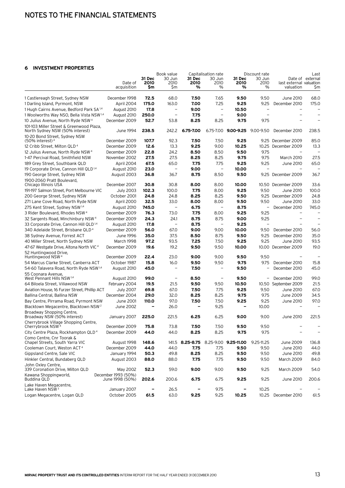#### **6 Investment properties**

|                                                                      |                                        |            | Book value               | Capitalisation rate                  |                          | Discount rate       |                          |                                      | Last                     |
|----------------------------------------------------------------------|----------------------------------------|------------|--------------------------|--------------------------------------|--------------------------|---------------------|--------------------------|--------------------------------------|--------------------------|
|                                                                      |                                        | 31 Dec     | 30 Jun                   | 31 Dec<br>2010                       | 30 Jun                   | 31 Dec              | 30 Jun                   |                                      | Date of external         |
|                                                                      | Date of<br>acquisition                 | 2010<br>Sm | 2010<br>\$m              | %                                    | 2010<br>%                | 2010<br>%           | 2010<br>%                | last external valuation<br>valuation | \$m                      |
| 1 Castlereagh Street, Sydney NSW                                     | December 1998                          | 72.5       | 68.0                     | 7.50                                 | 7.65                     | 9.50                | 9.50                     | June 2010                            | 68.0                     |
| 1 Darling Island, Pyrmont, NSW                                       | April 2004                             | 175.0      | 163.0                    | 7.00                                 | 7.25                     | 9.25                | 9.25                     | December 2010                        | 175.0                    |
| 1 Hugh Cairns Avenue, Bedford Park SA <sup>1,4</sup>                 | August 2010                            | 17.8       | $\overline{\phantom{m}}$ | 9.00                                 | $\overline{\phantom{0}}$ | 10.50               | $\overline{\phantom{m}}$ | $\overline{\phantom{0}}$             | $\overline{\phantom{0}}$ |
| 1 Woolworths Way NSO, Bella Vista NSW 1,4                            | August 2010                            | 250.0      | $\overline{\phantom{0}}$ | 7.75                                 | $\qquad \qquad -$        | 9.00                | $\overline{\phantom{0}}$ |                                      |                          |
| 10 Julius Avenue, North Ryde NSW <sup>4</sup>                        | December 2009                          | 52.7       | 53.8                     | 8.25                                 | 8.25                     | 9.75                | 9.75                     |                                      |                          |
| 101-103 Miller Street & Greenwood Plaza,                             |                                        |            |                          |                                      |                          |                     |                          |                                      |                          |
| North Sydney NSW (50% interest)<br>10-20 Bond Street, Sydney NSW     | June 1994                              | 238.5      | 242.2                    | 6.75-7.00                            |                          | 6.75-7.00 9.00-9.25 | $9.00 - 9.50$            | December 2010                        | 238.5                    |
| $(50\%$ interest) <sup>4</sup>                                       | December 2009                          | 107.7      | 92.3                     | 7.50                                 | 7.50                     | 9.25                | 9.25                     | December 2009                        | 85.0                     |
| 12 Cribb Street, Milton QLD <sup>4</sup>                             | December 2009                          | 12.6       | 13.3                     | 9.25                                 | 9.00                     | 10.25               | 10.25                    | December 2009                        | 13.3                     |
| 12 Julius Avenue, North Ryde NSW <sup>4</sup>                        | December 2009                          | 22.8       | 24.2                     | 8.50                                 | 8.50                     | 9.50                | 9.75                     |                                      |                          |
| 1-47 Percival Road, Smithfield NSW                                   | November 2002                          | 27.5       | 27.5                     | 8.25                                 | 8.25                     | 9.75                | 9.75                     | March 2010                           | 27.5                     |
| 189 Grey Street, Southbank QLD                                       | April 2004                             | 67.5       | 65.0                     | 7.75                                 | 7.75                     | 9.25                | 9.25                     | June 2010                            | 65.0                     |
| 19 Corporate Drive, Cannon Hill QLD <sup>1,4</sup>                   | August 2010                            | 23.0       | $\qquad \qquad -$        | 9.00                                 | $\overline{\phantom{0}}$ | 10.00               |                          |                                      |                          |
| 190 George Street, Sydney NSW                                        | August 2003                            | 36.8       | 36.7                     | 8.75                                 | 8.50                     | 9.50                | 9.25                     | December 2009                        | 36.7                     |
|                                                                      |                                        |            |                          |                                      |                          |                     |                          |                                      |                          |
| 1900-2060 Pratt Boulevard,<br>Chicago Illinois USA                   | December 2007                          | 30.8       | 30.8                     | 8.00                                 | 8.00                     | 10.00               | 10.50                    | December 2009                        | 33.6                     |
| 191-197 Salmon Street, Port Melbourne VIC                            | <b>July 2003</b>                       | 102.3      | 100.0                    | 7.75                                 | 8.00                     | 9.25                | 9.50                     | June 2010                            | 100.0                    |
| 200 George Street, Sydney NSW                                        | October 2001                           | 24.8       | 24.8                     | 8.25                                 | 8.25                     | 9.50                | 9.25                     | December 2009                        | 24.8                     |
| 271 Lane Cove Road, North Ryde NSW                                   |                                        | 32.5       | 33.0                     | 8.00                                 | 8.00                     | 9.50                | 9.50                     | June 2010                            | 33.0                     |
|                                                                      | April 2000                             |            | $\overline{\phantom{0}}$ |                                      |                          |                     |                          |                                      |                          |
| 275 Kent Street, Sydney NSW <sup>1,4</sup>                           | August 2010                            | 745.0      |                          | 6.75                                 |                          | 8.75                | $\overline{\phantom{a}}$ | December 2010                        | 745.0                    |
| 3 Rider Boulevard, Rhodes NSW <sup>4</sup>                           | December 2009                          | 76.3       | 73.0                     | 7.75                                 | 8.00                     | 9.25                | 9.25                     |                                      |                          |
| 32 Sargents Road, Minchinbury NSW <sup>4</sup>                       | December 2009                          | 24.3       | 24.1                     | 8.75                                 | 8.75                     | 9.00                | 9.25<br>$\equiv$         |                                      |                          |
| 33 Corporate Drive, Cannon Hill QLD <sup>1,4</sup>                   | August 2010                            | 17.8       | $\equiv$                 | 8.75                                 | $\equiv$                 | 9.25                |                          |                                      | $\overline{\phantom{0}}$ |
| 340 Adelaide Street, Brisbane QLD <sup>4</sup>                       | December 2009                          | 56.0       | 67.0                     | 9.00                                 | 9.00                     | 10.00               | 9.50                     | December 2010                        | 56.0                     |
| 38 Sydney Avenue, Forrest ACT                                        | June 1996                              | 35.0       | 37.5                     | 8.50                                 | 8.75                     | 9.50                | 9.25                     | December 2010                        | 35.0                     |
| 40 Miller Street, North Sydney NSW                                   | March 1998                             | 97.2       | 93.5                     | 7.25                                 | 7.50                     | 9.25                | 9.25                     | June 2010                            | 93.5                     |
| 47-67 Westgate Drive, Altona North VIC <sup>4</sup>                  | December 2009                          | 19.6       | 19.2                     | 9.50                                 | 9.50                     | 10.00               | 10.00                    | December 2009                        | 19.0                     |
| 52 Huntingwood Drive,                                                |                                        |            |                          |                                      |                          |                     |                          |                                      | $\overline{\phantom{0}}$ |
| Huntingwood NSW <sup>4</sup>                                         | December 2009                          | 22.4       | 23.0                     | 9.00                                 | 9.00                     | 9.50                | 9.50                     |                                      |                          |
| 54 Marcus Clarke Street, Canberra ACT                                | October 1987                           | 15.8       | 16.0                     | 9.50                                 | 9.50                     | 9.75                | 9.75                     | December 2010                        | 15.8                     |
| 54-60 Talavera Road, North Ryde NSW 14<br>55 Coonara Avenue,         | August 2010                            | 45.0       | $\qquad \qquad -$        | 7.50                                 |                          | 9.50                |                          | December 2010                        | 45.0                     |
| West Pennant Hills NSW 1,4                                           | August 2010                            | 99.0       | $\overline{\phantom{0}}$ | 8.50                                 | $\overline{\phantom{0}}$ | 9.50                | $\qquad \qquad -$        | December 2010                        | 99.0                     |
| 64 Biloela Street, Villawood NSW                                     | February 2004                          | 19.5       | 21.5                     | 9.50                                 | 9.50                     | 10.50               | 10.50                    | September 2009                       | 21.5                     |
| Aviation House, 16 Furzer Street, Phillip ACT                        | <b>July 2007</b>                       | 69.8       | 67.0                     | 7.50                                 | 7.75                     | 9.25                | 9.50                     | June 2010                            | 67.0                     |
| Ballina Central, Ballina NSW                                         | December 2004                          | 29.0       | 32.0                     | 8.25                                 | 8.25                     | 9.75                | 9.75                     | June 2009                            | 34.5                     |
| Bay Centre, Pirrama Road, Pyrmont NSW                                | June 2001                              | 110.0      | 97.0                     | 7.50                                 | 7.50                     | 9.25                | 9.25                     | June 2010                            | 97.0                     |
| Blacktown Megacentre, Blacktown NSW <sup>2</sup>                     | June 2002                              | -          | 26.0                     |                                      | 9.25                     | -                   | 10.00                    |                                      |                          |
| Broadway Shopping Centre,<br>Broadway NSW (50% interest)             | January 2007                           | 225.0      | 221.5                    | 6.25                                 | 6.25                     | 9.00                | 9.00                     | June 2010                            | 221.5                    |
| Cherrybrook Village Shopping Centre,<br>Cherrybrook NSW <sup>4</sup> | December 2009                          | 75.8       | 73.8                     | 7.50                                 | 7.50                     | 9.50                | 9.50                     |                                      |                          |
| City Centre Plaza, Rockhampton QLD <sup>4</sup>                      | December 2009                          | 44.0       | 44.0                     | 8.25                                 | 8.25                     | 9.75                | 9.75                     |                                      |                          |
| Como Centre, Cnr Toorak &                                            |                                        |            |                          |                                      |                          |                     |                          |                                      |                          |
| Chapel Streets, South Yarra VIC                                      | August 1998                            | 148.6      |                          | 141.5 8.25-8.75 8.25-9.00 9.25-11.00 |                          |                     | $9.25 - 11.25$           | June 2009                            | 136.8                    |
| Cooleman Court, Weston ACT <sup>4</sup>                              | December 2009                          | 44.0       | 44.0                     | 7.75                                 | 7.75                     | 9.50                | 9.50                     | June 2010                            | 44.0                     |
| Gippsland Centre, Sale VIC                                           | January 1994                           | 50.3       | 49.8                     | 8.25                                 | 8.25                     | 9.50                | 9.50                     | June 2010                            | 49.8                     |
| Hinkler Central, Bundaberg QLD                                       | August 2003                            | 88.0       | 88.0                     | 7.75                                 | 7.75                     | 9.50                | 9.50                     | March 2009                           | 84.0                     |
| John Oxley Centre,<br>339 Coronation Drive, Milton QLD               | May 2002                               | 52.3       | 59.0                     | 9.00                                 | 9.00                     | 9.50                | 9.25                     | March 2009                           | 54.0                     |
| Kawana Shoppingworld,<br>Buddina QLD                                 | December 1993 (50%)<br>June 1998 (50%) | 202.6      | 200.6                    | 6.75                                 | 6.75                     | 9.25                | 9.25                     | June 2010                            | 200.6                    |
| Lake Haven Megacentre,                                               |                                        |            |                          |                                      |                          |                     |                          |                                      |                          |
| Lake Haven NSW <sup>3</sup>                                          | January 2007                           |            | 26.5                     |                                      | 9.75                     |                     | 10.25                    |                                      |                          |
| Logan Megacentre, Logan QLD                                          | October 2005                           | 61.5       | 63.0                     | 9.25                                 | 9.25                     | 10.25               | 10.25                    | December 2010                        | 61.5                     |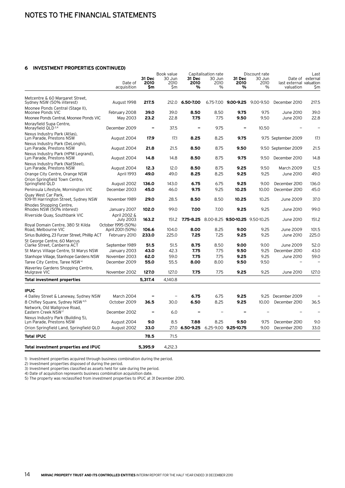#### **6 Investment properties (Continued)**

|                                                                | Date of<br>acquisition                 | 31 Dec<br>2010<br>\$m | Book value<br>30 Jun<br>2010<br>Sm | 31 Dec<br>2010<br>% | Capitalisation rate<br>30 Jun<br>2010<br>% | 31 Dec<br>2010<br>%                       | Discount rate<br>30 Jun<br>2010<br>$\%$ | last external valuation<br>valuation | Last<br>Date of external<br>\$m |
|----------------------------------------------------------------|----------------------------------------|-----------------------|------------------------------------|---------------------|--------------------------------------------|-------------------------------------------|-----------------------------------------|--------------------------------------|---------------------------------|
|                                                                |                                        |                       |                                    |                     |                                            |                                           |                                         |                                      |                                 |
| Metcentre & 60 Margaret Street,<br>Sydney NSW (50% interest)   | August 1998                            | 217.5                 | 212.0                              | 6.50-7.00           |                                            | 6.75-7.00 9.00-9.25 9.00-9.50             |                                         | December 2010                        | 217.5                           |
| Moonee Ponds Central (Stage II),<br>Moonee Ponds VIC           | February 2008                          | 39.0                  | 39.0                               | 8.50                | 8.50                                       | 9.75                                      | 9.75                                    | June 2010                            | 39.0                            |
| Moonee Ponds Central, Moonee Ponds VIC                         | May 2003                               | 23.2                  | 22.8                               | 7.75                | 7.75                                       | 9.50                                      | 9.50                                    | June 2010                            | 22.8                            |
| Morayfield Supa Centre,<br>Morayfield QLD <sup>2,4</sup>       | December 2009                          |                       | 37.5                               |                     | 9.75                                       | $\overline{\phantom{0}}$                  | 10.50                                   |                                      |                                 |
| Nexus Industry Park (Atlas),<br>Lyn Parade, Prestons NSW       | August 2004                            | 17.9                  | 17.1                               | 8.25                | 8.25                                       | 9.75                                      |                                         | 9.75 September 2009                  | 17.1                            |
| Nexus Industry Park (DeLonghi),<br>Lyn Parade, Prestons NSW    | August 2004                            | 21.8                  | 21.5                               | 8.50                | 8.75                                       | 9.50                                      |                                         | 9.50 September 2009                  | 21.5                            |
| Nexus Industry Park (HPM Legrand),<br>Lyn Parade, Prestons NSW | August 2004                            | 14.8                  | 14.8                               | 8.50                | 8.75                                       | 9.75                                      | 9.50                                    | December 2010                        | 14.8                            |
| Nexus Industry Park (NatSteel),<br>Lyn Parade, Prestons NSW    | August 2004                            | 12.3                  | 12.0                               | 8.50                | 8.75                                       | 9.25                                      | 9.50                                    | <b>March 2009</b>                    | 12.5                            |
| Orange City Centre, Orange NSW                                 | April 1993                             | 49.0                  | 49.0                               | 8.25                | 8.25                                       | 9.25                                      | 9.25                                    | June 2010                            | 49.0                            |
| Orion Springfield Town Centre,<br>Springfield QLD              | August 2002                            | 136.0                 | 143.0                              | 6.75                | 6.75                                       | 9.25                                      | 9.00                                    | December 2010                        | 136.0                           |
| Peninsula Lifestyle, Mornington VIC                            | December 2003                          | 45.0                  | 46.0                               | 9.75                | 9.25                                       | 10.25                                     | 10.00                                   | December 2010                        | 45.0                            |
| Quay West Car Park,<br>109-111 Harrington Street, Sydney NSW   | November 1989                          | 29.0                  | 28.5                               | 8.50                | 8.50                                       | 10.25                                     | 10.25                                   | June 2009                            | 37.0                            |
| Rhodes Shopping Centre,<br>Rhodes NSW (50% interest)           | January 2007                           | 102.0                 | 99.0                               | 7.00                | 7.00                                       | 9.25                                      | 9.25                                    | June 2010                            | 99.0                            |
| Riverside Quay, Southbank VIC                                  | April 2002 &<br><b>July 2003</b>       | 163.2                 | 151.2                              |                     |                                            | 7.75-8.25 8.00-8.25 9.50-10.25 9.50-10.25 |                                         | June 2010                            | 151.2                           |
| Royal Domain Centre, 380 St Kilda<br>Road, Melbourne VIC       | October 1995 (50%)<br>April 2001 (50%) | 106.6                 | 104.0                              | 8.00                | 8.25                                       | 9.00                                      | 9.25                                    | June 2009                            | 101.5                           |
| Sirius Building, 23 Furzer Street, Phillip ACT                 | February 2010                          | 233.0                 | 225.0                              | 7.25                | 7.25                                       | 9.25                                      | 9.25                                    | June 2010                            | 225.0                           |
| St George Centre, 60 Marcus<br>Clarke Street, Canberra ACT     | September 1989                         | 51.5                  | 51.5                               | 8.75                | 8.50                                       | 9.00                                      | 9.00                                    | June 2009                            | 52.0                            |
| St Marys Village Centre, St Marys NSW                          | January 2003                           | 43.0                  | 42.3                               | 7.75                | 7.75                                       | 9.50                                      | 9.25                                    | December 2010                        | 43.0                            |
| Stanhope Village, Stanhope Gardens NSW                         | November 2003                          | 62.0                  | 59.0                               | 7.75                | 7.75                                       | 9.25                                      | 9.25                                    | June 2010                            | 59.0                            |
| Taree City Centre, Taree NSW <sup>4</sup>                      | December 2009                          | 55.0                  | 55.5                               | 8.00                | 8.00                                       | 9.50                                      | 9.50                                    |                                      |                                 |
| Waverley Gardens Shopping Centre,<br>Mulgrave VIC              | November 2002                          | 127.0                 | 127.0                              | 7.75                | 7.75                                       | 9.25                                      | 9.25                                    | June 2010                            | 127.0                           |
| <b>Total investment properties</b>                             |                                        | 5,317.4               | 4,140.8                            |                     |                                            |                                           |                                         |                                      |                                 |
| <b>IPUC</b>                                                    |                                        |                       |                                    |                     |                                            |                                           |                                         |                                      |                                 |
| 4 Dalley Street & Laneway, Sydney NSW                          | March 2004                             |                       | $\overline{\phantom{0}}$           | 6.75                | 6.75                                       | 9.25                                      | 9.25                                    | December 2009                        |                                 |
| 8 Chifley Square, Sydney NSW 4,5                               | October 2009                           | 36.5                  | 30.0                               | 6.50                | 8.25                                       | 9.25                                      | 10.00                                   | December 2010                        | 36.5                            |
| Network, Old Wallgrove Road.<br>Eastern Creek NSW <sup>2</sup> | December 2002                          | -                     | 6.0                                |                     |                                            | -                                         |                                         |                                      |                                 |
| Nexus Industry Park (Building 5),<br>Lyn Parade, Prestons NSW  | August 2004                            | 9.0                   | 8.5                                | 7.88                | 8.25                                       | 9.50                                      | 9.75                                    | December 2010                        | 9.0                             |
| Orion Springfield Land, Springfield QLD                        | August 2002                            | 33.0                  | 27.0                               | 6.50-9.25           |                                            | 6.25-9.00 9.25-10.75                      | 9.00                                    | December 2010                        | 33.0                            |
| <b>Total IPUC</b>                                              |                                        | 78.5                  | 71.5                               |                     |                                            |                                           |                                         |                                      |                                 |
|                                                                |                                        |                       |                                    |                     |                                            |                                           |                                         |                                      |                                 |
| Total investment properties and IPUC                           |                                        | 5,395.9               | 4,212.3                            |                     |                                            |                                           |                                         |                                      |                                 |

1) Investment properties acquired through business combination during the period.

2) Investment properties disposed of during the period.

3) Investment properties classified as assets held for sale during the period.

4) Date of acquisition represents business combination acquisition date.

5) The property was reclassified from investment properties to IPUC at 31 December 2010.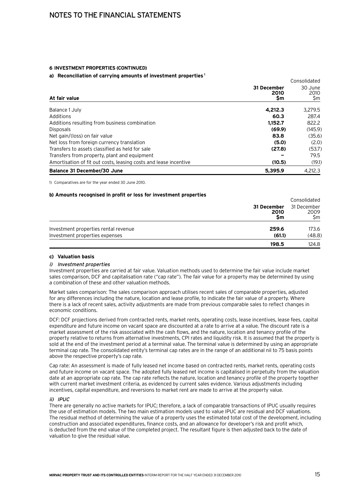#### **6 Investment properties (continued)**

#### **a) Reconciliation of carrying amounts of investment properties <sup>1</sup>**

| a) Thesententation of earlying anivality of infectinging properties |                           | Consolidated           |
|---------------------------------------------------------------------|---------------------------|------------------------|
| At fair value                                                       | 31 December<br>2010<br>Sm | 30 June<br>2010<br>\$m |
| Balance 1 July                                                      | 4.212.3                   | 3,279.5                |
| Additions                                                           | 60.3                      | 287.4                  |
| Additions resulting from business combination                       | 1.152.7                   | 822.2                  |
| <b>Disposals</b>                                                    | (69.9)                    | (145.9)                |
| Net gain/(loss) on fair value                                       | 83.8                      | (35.6)                 |
| Net loss from foreign currency translation                          | (5.0)                     | (2.0)                  |
| Transfers to assets classified as held for sale                     | (27.8)                    | (53.7)                 |
| Transfers from property, plant and equipment                        |                           | 79.5                   |
| Amortisation of fit out costs, leasing costs and lease incentive    | (10.5)                    | (19.1)                 |
| <b>Balance 31 December/30 June</b>                                  | 5,395.9                   | 4.212.3                |

1) Comparatives are for the year ended 30 June 2010.

#### **b) Amounts recognised in profit or loss for investment properties**

|                                      |                           | Consolidated              |
|--------------------------------------|---------------------------|---------------------------|
|                                      | 31 December<br>2010<br>Sm | 31 December<br>2009<br>Sm |
| Investment properties rental revenue | 259.6                     | 173.6                     |
| Investment properties expenses       | (61.1)                    | (48.8)                    |
|                                      | 198.5                     | 124.8                     |

#### **c) Valuation basis**

#### i) Investment properties

Investment properties are carried at fair value. Valuation methods used to determine the fair value include market sales comparison, DCF and capitalisation rate ("cap rate"). The fair value for a property may be determined by using a combination of these and other valuation methods.

Market sales comparison: The sales comparison approach utilises recent sales of comparable properties, adjusted for any differences including the nature, location and lease profile, to indicate the fair value of a property. Where there is a lack of recent sales, activity adjustments are made from previous comparable sales to reflect changes in economic conditions.

DCF: DCF projections derived from contracted rents, market rents, operating costs, lease incentives, lease fees, capital expenditure and future income on vacant space are discounted at a rate to arrive at a value. The discount rate is a market assessment of the risk associated with the cash flows, and the nature, location and tenancy profile of the property relative to returns from alternative investments, CPI rates and liquidity risk. It is assumed that the property is sold at the end of the investment period at a terminal value. The terminal value is determined by using an appropriate terminal cap rate. The consolidated entity's terminal cap rates are in the range of an additional nil to 75 basis points above the respective property's cap rate.

Cap rate: An assessment is made of fully leased net income based on contracted rents, market rents, operating costs and future income on vacant space. The adopted fully leased net income is capitalised in perpetuity from the valuation date at an appropriate cap rate. The cap rate reflects the nature, location and tenancy profile of the property together with current market investment criteria, as evidenced by current sales evidence. Various adjustments including incentives, capital expenditure, and reversions to market rent are made to arrive at the property value.

#### $ii)$  IPUC

There are generally no active markets for IPUC; therefore, a lack of comparable transactions of IPUC usually requires the use of estimation models. The two main estimation models used to value IPUC are residual and DCF valuations. The residual method of determining the value of a property uses the estimated total cost of the development, including construction and associated expenditures, finance costs, and an allowance for developer's risk and profit which, is deducted from the end value of the completed project. The resultant figure is then adjusted back to the date of valuation to give the residual value.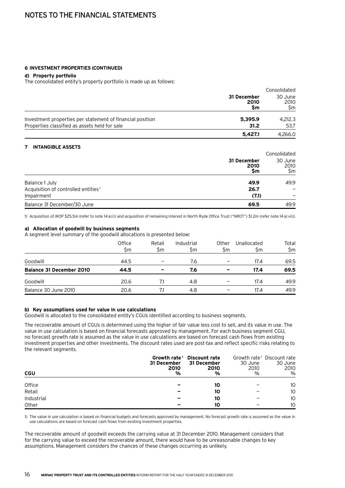## Notes to the financial statements

#### **6 Investment properties (continued)**

#### **d) Property portfolio**

The consolidated entity's property portfolio is made up as follows:

|                                                           |                           | Consolidated           |  |
|-----------------------------------------------------------|---------------------------|------------------------|--|
|                                                           | 31 December<br>2010<br>Sm | 30 June<br>2010<br>Sm. |  |
| Investment properties per statement of financial position | 5,395.9                   | 4.212.3                |  |
| Properties classified as assets held for sale<br>31.2     | 53.7                      |                        |  |
|                                                           | 5.427.1                   | 4.266.0                |  |

#### **7 Intangible assets**

|                                                         | Consolidated           |  |
|---------------------------------------------------------|------------------------|--|
| 31 December<br>2010<br>Sm                               | 30 June<br>2010<br>\$m |  |
| Balance 1 July<br>49.9                                  | 49.9                   |  |
| Acquisition of controlled entities <sup>1</sup><br>26.7 |                        |  |
| Impairment<br>(7.1)                                     |                        |  |
| Balance 31 December/30 June<br>69.5                     | 49.9                   |  |

1) Acquisition of WOP \$25.5m (refer to note 14a)i)) and acquisition of remaining interest in North Ryde Office Trust ("NROT") \$1.2m (refer note 14a) vii)).

#### **a) Allocation of goodwill by business segments**

A segment level summary of the goodwill allocations is presented below:

|                                 | Office<br>\$m | Retail<br>Sm | Industrial<br>\$m | Other<br>Sm              | Unallocated<br>\$m | Total<br>\$m |
|---------------------------------|---------------|--------------|-------------------|--------------------------|--------------------|--------------|
| Goodwill                        | 44.5          |              | 7.6               |                          | 17.4               | 69.5         |
| <b>Balance 31 December 2010</b> | 44.5          |              | 7.6               |                          | 17.4               | 69.5         |
| Goodwill                        | 20.6          | 7.1          | 4.8               | $\overline{\phantom{0}}$ | 17.4               | 49.9         |
| Balance 30 June 2010            | 20.6          |              | 4.8               |                          | 17.4               | 49.9         |

#### **b) Key assumptions used for value in use calculations**

Goodwill is allocated to the consolidated entity's CGUs identified according to business segments.

The recoverable amount of CGUs is determined using the higher of fair value less cost to sell, and its value in use. The value in use calculation is based on financial forecasts approved by management. For each business segment CGU, no forecast growth rate is assumed as the value in use calculations are based on forecast cash flows from existing investment properties and other investments. The discount rates used are post-tax and reflect specific risks relating to the relevant segments.

| <b>CGU</b> | Growth rate <sup>1</sup><br>31 December<br>2010<br>% | <b>Discount rate</b><br>31 December<br>2010<br>% | 30 June<br>2010<br>$\%$ | Growth rate <sup>1</sup> Discount rate<br>30 June<br>2010<br>$\%$ |
|------------|------------------------------------------------------|--------------------------------------------------|-------------------------|-------------------------------------------------------------------|
| Office     |                                                      | 10                                               |                         | 10                                                                |
| Retail     | $\overline{\phantom{0}}$                             | 10                                               |                         | 10                                                                |
| Industrial | $\overline{\phantom{0}}$                             | 10                                               |                         | 10                                                                |
| Other      | $\overline{\phantom{a}}$                             | 10                                               |                         | 10                                                                |

1) The value in use calculation is based on financial budgets and forecasts approved by management. No forecast growth rate is assumed as the value in use calculations are based on forecast cash flows from existing investment properties.

The recoverable amount of goodwill exceeds the carrying value at 31 December 2010. Management considers that for the carrying value to exceed the recoverable amount, there would have to be unreasonable changes to key assumptions. Management considers the chances of these changes occurring as unlikely.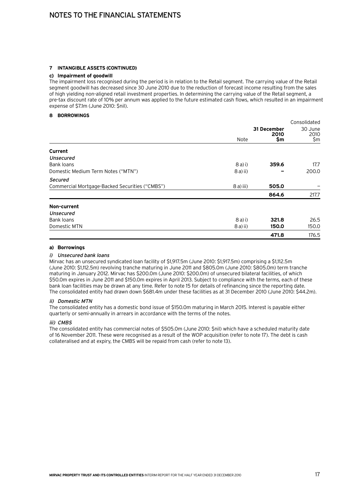#### **7 Intangible assets (continued)**

#### **c) Impairment of goodwill**

The impairment loss recognised during the period is in relation to the Retail segment. The carrying value of the Retail segment goodwill has decreased since 30 June 2010 due to the reduction of forecast income resulting from the sales of high yielding non-aligned retail investment properties. In determining the carrying value of the Retail segment, a pre-tax discount rate of 10% per annum was applied to the future estimated cash flows, which resulted in an impairment expense of \$7.1m (June 2010: \$nil).

#### **8 Borrowings**

|                                                |            |                            | Consolidated           |
|------------------------------------------------|------------|----------------------------|------------------------|
|                                                | Note       | 31 December<br>2010<br>\$m | 30 June<br>2010<br>\$m |
|                                                |            |                            |                        |
| Current                                        |            |                            |                        |
| Unsecured                                      |            |                            |                        |
| Bank loans                                     | $8a)$ i)   | 359.6                      | 17.7                   |
| Domestic Medium Term Notes ("MTN")             | $8a)$ ii)  |                            | 200.0                  |
| <b>Secured</b>                                 |            |                            |                        |
| Commercial Mortgage-Backed Securities ("CMBS") | $8a)$ iii) | 505.0                      |                        |
|                                                |            | 864.6                      | 217.7                  |
| Non-current                                    |            |                            |                        |
| Unsecured                                      |            |                            |                        |
| Bank loans                                     | $8a)$ i)   | 321.8                      | 26.5                   |
| Domestic MTN                                   | $8a)$ ii)  | 150.0                      | 150.0                  |
|                                                |            | 471.8                      | 176.5                  |

#### **a) Borrowings**

#### i) Unsecured bank loans

Mirvac has an unsecured syndicated loan facility of \$1,917.5m (June 2010: \$1,917.5m) comprising a \$1,112.5m (June 2010: \$1,112.5m) revolving tranche maturing in June 2011 and \$805.0m (June 2010: \$805.0m) term tranche maturing in January 2012. Mirvac has \$200.0m (June 2010: \$200.0m) of unsecured bilateral facilities, of which \$50.0m expires in June 2011 and \$150.0m expires in April 2013. Subject to compliance with the terms, each of these bank loan facilities may be drawn at any time. Refer to note 15 for details of refinancing since the reporting date. The consolidated entity had drawn down \$681.4m under these facilities as at 31 December 2010 (June 2010: \$44.2m).

#### ii) Domestic MTN

The consolidated entity has a domestic bond issue of \$150.0m maturing in March 2015. Interest is payable either quarterly or semi-annually in arrears in accordance with the terms of the notes.

#### iii) CMBS

The consolidated entity has commercial notes of \$505.0m (June 2010: \$nil) which have a scheduled maturity date of 16 November 2011. These were recognised as a result of the WOP acquisition (refer to note 17). The debt is cash collateralised and at expiry, the CMBS will be repaid from cash (refer to note 13).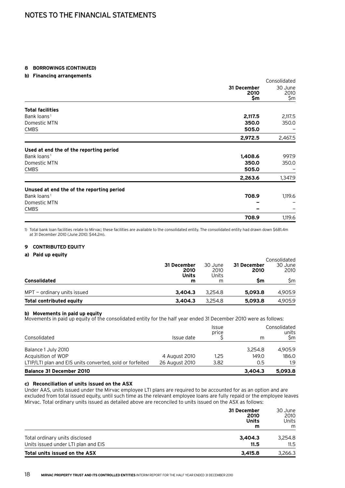#### **8 Borrowings (continued)**

#### **b) Financing arrangements**

|                                           |                            | Consolidated           |
|-------------------------------------------|----------------------------|------------------------|
|                                           | 31 December<br>2010<br>\$m | 30 June<br>2010<br>\$m |
| <b>Total facilities</b>                   |                            |                        |
| Bank loans <sup>1</sup>                   | 2,117.5                    | 2,117.5                |
| Domestic MTN                              | 350.0                      | 350.0                  |
| <b>CMBS</b>                               | 505.0                      |                        |
|                                           | 2,972.5                    | 2,467.5                |
| Used at end the of the reporting period   |                            |                        |
| Bank loans <sup>1</sup>                   | 1,408.6                    | 997.9                  |
| Domestic MTN                              | 350.0                      | 350.0                  |
| <b>CMBS</b>                               | 505.0                      |                        |
|                                           | 2,263.6                    | 1,347.9                |
| Unused at end the of the reporting period |                            |                        |
| Bank loans <sup>1</sup>                   | 708.9                      | 1,119.6                |
| Domestic MTN                              |                            |                        |
| <b>CMBS</b>                               |                            |                        |
|                                           | 708.9                      | 1,119.6                |

1) Total bank loan facilities relate to Mirvac; these facilities are available to the consolidated entity. The consolidated entity had drawn down \$681.4m at 31 December 2010 (June 2010: \$44.2m).

#### **9 Contributed equity**

#### **a) Paid up equity**

|                               | 31 December<br>2010<br><b>Units</b> | 30 June<br>2010<br>Units | 31 December<br>2010 | Consolidated<br>30 June<br>2010 |
|-------------------------------|-------------------------------------|--------------------------|---------------------|---------------------------------|
| <b>Consolidated</b>           | m                                   | m                        | Sm                  | \$m                             |
| $MPT$ – ordinary units issued | 3.404.3                             | 3.254.8                  | 5,093.8             | 4.905.9                         |
| Total contributed equity      | 3.404.3                             | 3.254.8                  | 5,093.8             | 4.905.9                         |

#### **b) Movements in paid up equity**

Movements in paid up equity of the consolidated entity for the half year ended 31 December 2010 were as follows:

| Consolidated                                             | Issue date     | price | m       | units<br>Sm |
|----------------------------------------------------------|----------------|-------|---------|-------------|
| Balance 1 July 2010                                      |                |       | 3.254.8 | 4.905.9     |
| Acquisition of WOP                                       | 4 August 2010  | 1.25  | 149.0   | 186.0       |
| LTIP/LTI plan and EIS units converted, sold or forfeited | 26 August 2010 | 3.82  | 0.5     | 1.9         |
| <b>Balance 31 December 2010</b>                          |                |       | 3,404.3 | 5.093.8     |

#### **c) Reconciliation of units issued on the ASX**

Under AAS, units issued under the Mirvac employee LTI plans are required to be accounted for as an option and are excluded from total issued equity, until such time as the relevant employee loans are fully repaid or the employee leaves Mirvac. Total ordinary units issued as detailed above are reconciled to units issued on the ASX as follows:

|                                                                       | 31 December<br>2010<br>Units<br>m | 30 June<br>2010<br>Units<br>m |
|-----------------------------------------------------------------------|-----------------------------------|-------------------------------|
| Total ordinary units disclosed<br>Units issued under LTI plan and EIS | 3,404.3<br>11.5                   | 3,254.8<br>11.5               |
| Total units issued on the ASX                                         | 3,415.8                           | 3,266.3                       |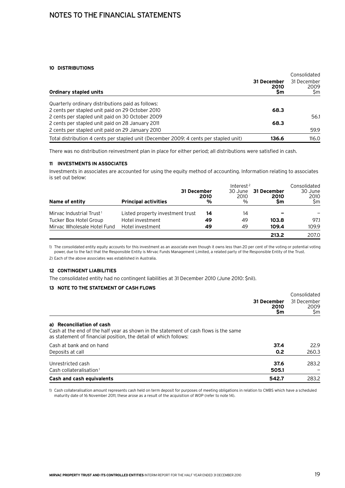### Notes to the financial statements

#### **10 Distributions**

|                                                                                       |                           | Consolidated               |  |
|---------------------------------------------------------------------------------------|---------------------------|----------------------------|--|
| Ordinary stapled units                                                                | 31 December<br>2010<br>Sm | 31 December<br>2009<br>\$m |  |
| Quarterly ordinary distributions paid as follows:                                     |                           |                            |  |
| 2 cents per stapled unit paid on 29 October 2010                                      | 68.3                      |                            |  |
| 2 cents per stapled unit paid on 30 October 2009                                      |                           | 56.1                       |  |
| 2 cents per stapled unit paid on 28 January 2011                                      | 68.3                      |                            |  |
| 2 cents per stapled unit paid on 29 January 2010                                      |                           | 59.9                       |  |
| Total distribution 4 cents per stapled unit (December 2009: 4 cents per stapled unit) | 136.6                     | 116.0                      |  |

There was no distribution reinvestment plan in place for either period; all distributions were satisfied in cash.

#### **11 Investments in associates**

Investments in associates are accounted for using the equity method of accounting. Information relating to associates is set out below:

|                                      | 31 December                      | 2010 | Interest <sup>2</sup><br>30 June<br>2010 | 31 December<br>2010 | Consolidated<br>30 June<br>2010 |
|--------------------------------------|----------------------------------|------|------------------------------------------|---------------------|---------------------------------|
| Name of entity                       | <b>Principal activities</b>      | %    | %                                        | Sm                  | Sm                              |
| Mirvac Industrial Trust <sup>1</sup> | Listed property investment trust | 14   | 14                                       |                     |                                 |
| Tucker Box Hotel Group               | Hotel investment                 | 49   | 49                                       | 103.8               | 97.1                            |
| Mirvac Wholesale Hotel Fund          | Hotel investment                 | 49   | 49                                       | 109.4               | 109.9                           |
|                                      |                                  |      |                                          | 213.2               | 207.0                           |

1) The consolidated entity equity accounts for this investment as an associate even though it owns less than 20 per cent of the voting or potential voting power, due to the fact that the Responsible Entity is Mirvac Funds Management Limited, a related party of the Responsible Entity of the Trust.

2) Each of the above associates was established in Australia.

#### **12 Contingent liabilities**

The consolidated entity had no contingent liabilities at 31 December 2010 (June 2010: \$nil).

#### **13 Note to the statement of cash flows**

|                                                                                                                                                                                       |                           | Consolidated               |
|---------------------------------------------------------------------------------------------------------------------------------------------------------------------------------------|---------------------------|----------------------------|
|                                                                                                                                                                                       | 31 December<br>2010<br>Şm | 31 December<br>2009<br>\$m |
| a) Reconciliation of cash<br>Cash at the end of the half year as shown in the statement of cash flows is the same<br>as statement of financial position, the detail of which follows: |                           |                            |
| Cash at bank and on hand                                                                                                                                                              | 37.4                      | 22.9                       |
| Deposits at call                                                                                                                                                                      | 0.2                       | 260.3                      |
| Unrestricted cash<br>Cash collateralisation <sup>1</sup>                                                                                                                              | 37.6<br>505.1             | 283.2                      |
| Cash and cash equivalents                                                                                                                                                             | 542.7                     | 283.2                      |

1) Cash collateralisation amount represents cash held on term deposit for purposes of meeting obligations in relation to CMBS which have a scheduled maturity date of 16 November 2011; these arose as a result of the acquisition of WOP (refer to note 14).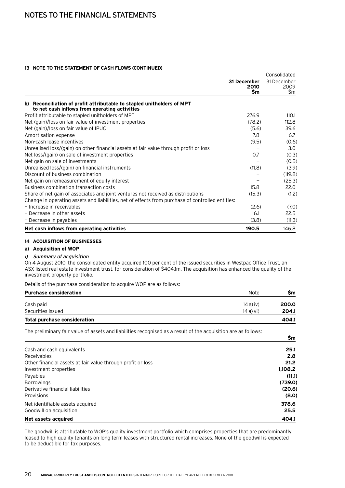#### **13 Note to the statement of cash flows (continued)**

|                                                                                                                         |                                  | Consolidated               |
|-------------------------------------------------------------------------------------------------------------------------|----------------------------------|----------------------------|
|                                                                                                                         | 31 December<br>2010<br><b>Sm</b> | 31 December<br>2009<br>\$m |
| b) Reconciliation of profit attributable to stapled unitholders of MPT<br>to net cash inflows from operating activities |                                  |                            |
| Profit attributable to stapled unitholders of MPT                                                                       | 276.9                            | 110.1                      |
| Net (gain)/loss on fair value of investment properties                                                                  | (78.2)                           | 112.8                      |
| Net (gain)/loss on fair value of IPUC                                                                                   | (5.6)                            | 39.6                       |
| Amortisation expense                                                                                                    | 7.8                              | 6.7                        |
| Non-cash lease incentives                                                                                               | (9.5)                            | (0.6)                      |
| Unrealised loss/(gain) on other financial assets at fair value through profit or loss                                   |                                  | 3.0                        |
| Net loss/(gain) on sale of investment properties                                                                        | 0.7                              | (0.3)                      |
| Net gain on sale of investments                                                                                         |                                  | (0.5)                      |
| Unrealised loss/(gain) on financial instruments                                                                         | (11.8)                           | (3.9)                      |
| Discount of business combination                                                                                        |                                  | (119.8)                    |
| Net gain on remeasurement of equity interest                                                                            |                                  | (25.3)                     |
| Business combination transaction costs                                                                                  | 15.8                             | 22.0                       |
| Share of net gain of associates and joint ventures not received as distributions                                        | (15.3)                           | (1.2)                      |
| Change in operating assets and liabilities, net of effects from purchase of controlled entities:                        |                                  |                            |
| - Increase in receivables                                                                                               | (2.6)                            | (7.0)                      |
| - Decrease in other assets                                                                                              | 16.1                             | 22.5                       |
| - Decrease in payables                                                                                                  | (3.8)                            | (11.3)                     |
| Net cash inflows from operating activities                                                                              | 190.5                            | 146.8                      |

#### **14 Acquisition of businesses**

#### **a) Acquisition of WOP**

#### i) Summary of acquisition

On 4 August 2010, the consolidated entity acquired 100 per cent of the issued securities in Westpac Office Trust, an ASX listed real estate investment trust, for consideration of \$404.1m. The acquisition has enhanced the quality of the investment property portfolio.

Details of the purchase consideration to acquire WOP are as follows:

| <b>Purchase consideration</b>       | <b>Note</b>   | Sm    |
|-------------------------------------|---------------|-------|
| Cash paid                           | $14a)$ iv)    | 200.0 |
| Securities issued                   | $14a$ ) vi)   | 204.1 |
| <b>Total purchase consideration</b> |               | 404.1 |
| $\cdots$ $\cdots$                   | $\cdots$<br>. |       |

The preliminary fair value of assets and liabilities recognised as a result of the acquisition are as follows:

|                                                             | \$m     |
|-------------------------------------------------------------|---------|
| Cash and cash equivalents                                   | 25.1    |
| Receivables                                                 | 2.8     |
| Other financial assets at fair value through profit or loss | 21.2    |
| Investment properties                                       | 1,108.2 |
| Payables                                                    | (11.1)  |
| <b>Borrowings</b>                                           | (739.0) |
| Derivative financial liabilities                            | (20.6)  |
| Provisions                                                  | (8.0)   |
| Net identifiable assets acquired                            | 378.6   |
| Goodwill on acquisition                                     | 25.5    |
| Net assets acquired                                         | 404.1   |

The goodwill is attributable to WOP's quality investment portfolio which comprises properties that are predominantly leased to high quality tenants on long term leases with structured rental increases. None of the goodwill is expected to be deductible for tax purposes.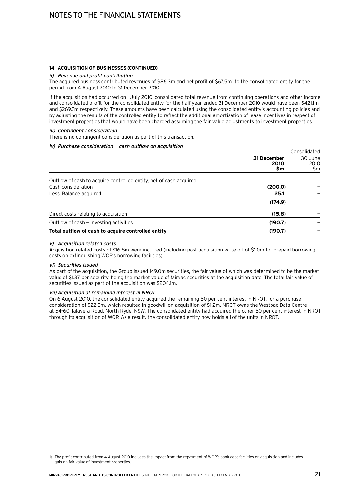#### **14 Acquisition of businesses (continued)**

#### ii) Revenue and profit contribution

The acquired business contributed revenues of \$86.3m and net profit of \$67.5m<sup>1</sup> to the consolidated entity for the period from 4 August 2010 to 31 December 2010.

If the acquisition had occurred on 1 July 2010, consolidated total revenue from continuing operations and other income and consolidated profit for the consolidated entity for the half year ended 31 December 2010 would have been \$421.1m and \$269.7m respectively. These amounts have been calculated using the consolidated entity's accounting policies and by adjusting the results of the controlled entity to reflect the additional amortisation of lease incentives in respect of investment properties that would have been charged assuming the fair value adjustments to investment properties.

#### iii) Contingent consideration

There is no contingent consideration as part of this transaction.

#### iv) Purchase consideration — cash outflow on acquisition

|                                                                    | Consolidated           |
|--------------------------------------------------------------------|------------------------|
| 31 December<br>2010<br>Şm                                          | 30 June<br>2010<br>\$m |
| Outflow of cash to acquire controlled entity, net of cash acquired |                        |
| Cash consideration<br>(200.0)                                      |                        |
| Less: Balance acquired<br>25.1                                     |                        |
| (174.9)                                                            |                        |
| Direct costs relating to acquisition<br>(15.8)                     |                        |
| Outflow of cash - investing activities<br>(190.7)                  |                        |
| Total outflow of cash to acquire controlled entity<br>(190.7)      |                        |

#### v) Acquisition related costs

Acquisition related costs of \$16.8m were incurred (including post acquisition write off of \$1.0m for prepaid borrowing costs on extinguishing WOP's borrowing facilities).

#### vi) Securities issued

As part of the acquisition, the Group issued 149.0m securities, the fair value of which was determined to be the market value of \$1.37 per security, being the market value of Mirvac securities at the acquisition date. The total fair value of securities issued as part of the acquisition was \$204.1m.

#### vii) Acquisition of remaining interest in NROT

On 6 August 2010, the consolidated entity acquired the remaining 50 per cent interest in NROT, for a purchase consideration of \$22.5m, which resulted in goodwill on acquisition of \$1.2m. NROT owns the Westpac Data Centre at 54-60 Talavera Road, North Ryde, NSW. The consolidated entity had acquired the other 50 per cent interest in NROT through its acquisition of WOP. As a result, the consolidated entity now holds all of the units in NROT.

<sup>1)</sup> The profit contributed from 4 August 2010 includes the impact from the repayment of WOP's bank debt facilities on acquisition and includes gain on fair value of investment properties.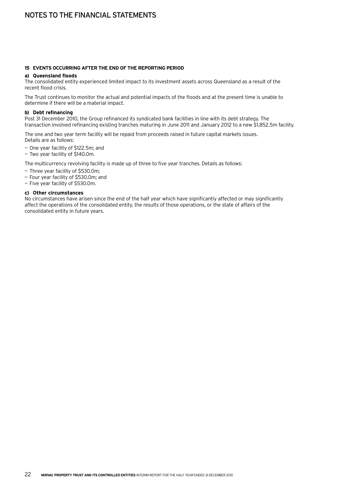# Notes to the financial statements

#### **15 Events occurring after the end of the reporting period**

#### **a) Queensland floods**

The consolidated entity experienced limited impact to its investment assets across Queensland as a result of the recent flood crisis.

The Trust continues to monitor the actual and potential impacts of the floods and at the present time is unable to determine if there will be a material impact.

#### **b) Debt refinancing**

Post 31 December 2010, the Group refinanced its syndicated bank facilities in line with its debt strategy. The transaction involved refinancing existing tranches maturing in June 2011 and January 2012 to a new \$1,852.5m facility.

The one and two year term facility will be repaid from proceeds raised in future capital markets issues. Details are as follows:

- One year facility of \$122.5m; and
- Two year facility of \$140.0m.

The multicurrency revolving facility is made up of three to five year tranches. Details as follows:

- Three year facility of \$530.0m;
- Four year facility of \$530.0m; and
- Five year facility of \$530.0m.

#### **c) Other circumstances**

No circumstances have arisen since the end of the half year which have significantly affected or may significantly affect the operations of the consolidated entity, the results of those operations, or the state of affairs of the consolidated entity in future years.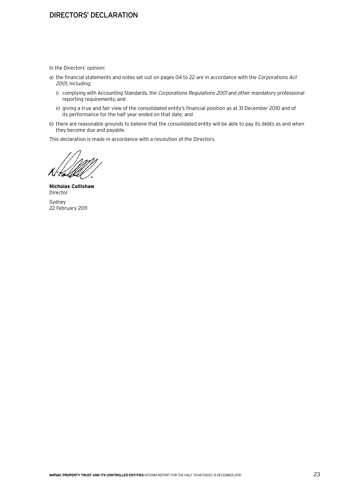## Directors' declaration

In the Directors' opinion:

- a) the financial statements and notes set out on pages 04 to 22 are in accordance with the Corporations Act 2001, including:
	- i) complying with Accounting Standards, the Corporations Regulations 2001 and other mandatory professional reporting requirements; and
	- ii) giving a true and fair view of the consolidated entity's financial position as at 31 December 2010 and of its performance for the half year ended on that date; and
- b) there are reasonable grounds to believe that the consolidated entity will be able to pay its debts as and when they become due and payable.

This declaration is made in accordance with a resolution of the Directors.

al

**Nicholas Collishaw** Director

Sydney 22 February 2011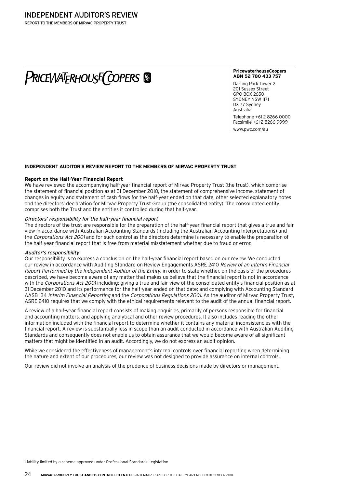# **PRICEWATERHOUSE COPERS**

#### **PricewaterhouseCoopers ABN 52 780 433 757**

Darling Park Tower 2 201 Sussex Street GPO BOX 2650 SYDNEY NSW 1171 DX 77 Sydney Australia

Telephone +61 2 8266 0000 Facsimile +61 2 8266 9999 www.pwc.com/au

**Independent auditor's review report to the members of Mirvac Property Trust**

# **Report on the Half-Year Financial Report**

We have reviewed the accompanying half-year financial report of Mirvac Property Trust (the trust), which comprise the statement of financial position as at 31 December 2010, the statement of comprehensive income, statement of changes in equity and statement of cash flows for the half-year ended on that date, other selected explanatory notes and the directors' declaration for Mirvac Property Trust Group (the consolidated entity). The consolidated entity comprises both the Trust and the entities it controlled during that half-year.

#### Directors' responsibility for the half-year financial report

The directors of the trust are responsible for the preparation of the half-year financial report that gives a true and fair view in accordance with Australian Accounting Standards (including the Australian Accounting Interpretations) and the Corporations Act 2001 and for such control as the directors determine is necessary to enable the preparation of the half-year financial report that is free from material misstatement whether due to fraud or error.

#### Auditor's responsibility

Our responsibility is to express a conclusion on the half-year financial report based on our review. We conducted our review in accordance with Auditing Standard on Review Engagements ASRE 2410 Review of an Interim Financial Report Performed by the Independent Auditor of the Entity, in order to state whether, on the basis of the procedures described, we have become aware of any matter that makes us believe that the financial report is not in accordance with the Corporations Act 2001 including: giving a true and fair view of the consolidated entity's financial position as at 31 December 2010 and its performance for the half-year ended on that date; and complying with Accounting Standard AASB 134 Interim Financial Reporting and the Corporations Regulations 2001. As the auditor of Mirvac Property Trust, ASRE 2410 requires that we comply with the ethical requirements relevant to the audit of the annual financial report.

A review of a half-year financial report consists of making enquiries, primarily of persons responsible for financial and accounting matters, and applying analytical and other review procedures. It also includes reading the other information included with the financial report to determine whether it contains any material inconsistencies with the financial report. A review is substantially less in scope than an audit conducted in accordance with Australian Auditing Standards and consequently does not enable us to obtain assurance that we would become aware of all significant matters that might be identified in an audit. Accordingly, we do not express an audit opinion.

While we considered the effectiveness of management's internal controls over financial reporting when determining the nature and extent of our procedures, our review was not designed to provide assurance on internal controls.

Our review did not involve an analysis of the prudence of business decisions made by directors or management.